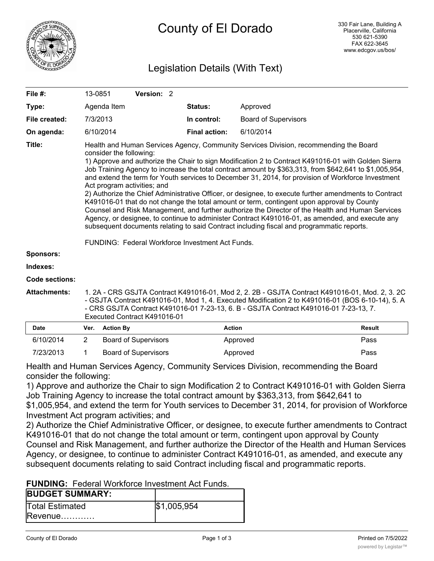

# Legislation Details (With Text)

| File #:               | 13-0851        |                                                                                                                                                                                                                                                                                                                                                                                                                                                                                                                                                                                                                                                                                                                                                                                                                                                                                                                                                                                                                                       | Version: 2                   |  |                      |                             |                                                                                                                                                                                                                                                                                             |
|-----------------------|----------------|---------------------------------------------------------------------------------------------------------------------------------------------------------------------------------------------------------------------------------------------------------------------------------------------------------------------------------------------------------------------------------------------------------------------------------------------------------------------------------------------------------------------------------------------------------------------------------------------------------------------------------------------------------------------------------------------------------------------------------------------------------------------------------------------------------------------------------------------------------------------------------------------------------------------------------------------------------------------------------------------------------------------------------------|------------------------------|--|----------------------|-----------------------------|---------------------------------------------------------------------------------------------------------------------------------------------------------------------------------------------------------------------------------------------------------------------------------------------|
| Type:                 |                | Agenda Item                                                                                                                                                                                                                                                                                                                                                                                                                                                                                                                                                                                                                                                                                                                                                                                                                                                                                                                                                                                                                           |                              |  | Status:              | Approved                    |                                                                                                                                                                                                                                                                                             |
| File created:         |                | 7/3/2013                                                                                                                                                                                                                                                                                                                                                                                                                                                                                                                                                                                                                                                                                                                                                                                                                                                                                                                                                                                                                              |                              |  | In control:          | <b>Board of Supervisors</b> |                                                                                                                                                                                                                                                                                             |
| On agenda:            |                | 6/10/2014                                                                                                                                                                                                                                                                                                                                                                                                                                                                                                                                                                                                                                                                                                                                                                                                                                                                                                                                                                                                                             |                              |  | <b>Final action:</b> | 6/10/2014                   |                                                                                                                                                                                                                                                                                             |
| Title:                |                | Health and Human Services Agency, Community Services Division, recommending the Board<br>consider the following:<br>1) Approve and authorize the Chair to sign Modification 2 to Contract K491016-01 with Golden Sierra<br>Job Training Agency to increase the total contract amount by \$363,313, from \$642,641 to \$1,005,954,<br>and extend the term for Youth services to December 31, 2014, for provision of Workforce Investment<br>Act program activities; and<br>2) Authorize the Chief Administrative Officer, or designee, to execute further amendments to Contract<br>K491016-01 that do not change the total amount or term, contingent upon approval by County<br>Counsel and Risk Management, and further authorize the Director of the Health and Human Services<br>Agency, or designee, to continue to administer Contract K491016-01, as amended, and execute any<br>subsequent documents relating to said Contract including fiscal and programmatic reports.<br>FUNDING: Federal Workforce Investment Act Funds. |                              |  |                      |                             |                                                                                                                                                                                                                                                                                             |
| Sponsors:             |                |                                                                                                                                                                                                                                                                                                                                                                                                                                                                                                                                                                                                                                                                                                                                                                                                                                                                                                                                                                                                                                       |                              |  |                      |                             |                                                                                                                                                                                                                                                                                             |
| Indexes:              |                |                                                                                                                                                                                                                                                                                                                                                                                                                                                                                                                                                                                                                                                                                                                                                                                                                                                                                                                                                                                                                                       |                              |  |                      |                             |                                                                                                                                                                                                                                                                                             |
| <b>Code sections:</b> |                |                                                                                                                                                                                                                                                                                                                                                                                                                                                                                                                                                                                                                                                                                                                                                                                                                                                                                                                                                                                                                                       |                              |  |                      |                             |                                                                                                                                                                                                                                                                                             |
| <b>Attachments:</b>   |                |                                                                                                                                                                                                                                                                                                                                                                                                                                                                                                                                                                                                                                                                                                                                                                                                                                                                                                                                                                                                                                       | Executed Contract K491016-01 |  |                      |                             | 1. 2A - CRS GSJTA Contract K491016-01, Mod 2, 2. 2B - GSJTA Contract K491016-01, Mod. 2, 3. 2C<br>- GSJTA Contract K491016-01, Mod 1, 4. Executed Modification 2 to K491016-01 (BOS 6-10-14), 5. A<br>- CRS GSJTA Contract K491016-01 7-23-13, 6. B - GSJTA Contract K491016-01 7-23-13, 7. |
| <b>Date</b>           | Ver.           | <b>Action By</b>                                                                                                                                                                                                                                                                                                                                                                                                                                                                                                                                                                                                                                                                                                                                                                                                                                                                                                                                                                                                                      |                              |  | <b>Action</b>        |                             | <b>Result</b>                                                                                                                                                                                                                                                                               |
| 6/10/2014             | $\overline{2}$ |                                                                                                                                                                                                                                                                                                                                                                                                                                                                                                                                                                                                                                                                                                                                                                                                                                                                                                                                                                                                                                       | <b>Board of Supervisors</b>  |  |                      | Approved                    | Pass                                                                                                                                                                                                                                                                                        |
| 7/23/2013             | 1              |                                                                                                                                                                                                                                                                                                                                                                                                                                                                                                                                                                                                                                                                                                                                                                                                                                                                                                                                                                                                                                       | <b>Board of Supervisors</b>  |  |                      | Approved                    | Pass                                                                                                                                                                                                                                                                                        |

Health and Human Services Agency, Community Services Division, recommending the Board consider the following:

1) Approve and authorize the Chair to sign Modification 2 to Contract K491016-01 with Golden Sierra Job Training Agency to increase the total contract amount by \$363,313, from \$642,641 to \$1,005,954, and extend the term for Youth services to December 31, 2014, for provision of Workforce Investment Act program activities; and

2) Authorize the Chief Administrative Officer, or designee, to execute further amendments to Contract K491016-01 that do not change the total amount or term, contingent upon approval by County Counsel and Risk Management, and further authorize the Director of the Health and Human Services Agency, or designee, to continue to administer Contract K491016-01, as amended, and execute any subsequent documents relating to said Contract including fiscal and programmatic reports.

**FUNDING:** Federal Workforce Investment Act Funds.

| <b>BUDGET SUMMARY:</b> |             |
|------------------------|-------------|
| <b>Total Estimated</b> | \$1,005,954 |
| $Revenue$              |             |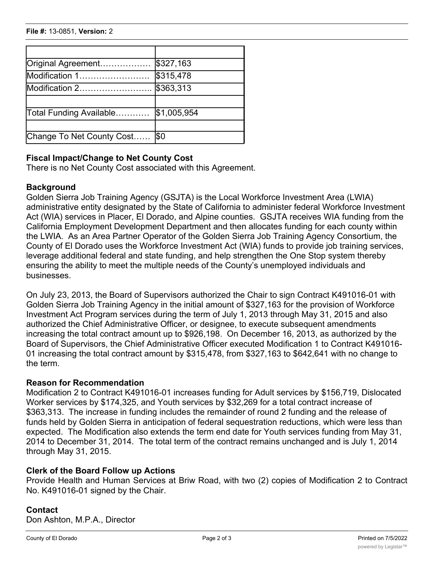| Original Agreement        | \$327,163   |
|---------------------------|-------------|
| Modification 1            | \$315,478   |
| Modification 2            | \$363,313   |
| Total Funding Available   | \$1,005,954 |
|                           |             |
| Change To Net County Cost | l\$0        |

## **Fiscal Impact/Change to Net County Cost**

There is no Net County Cost associated with this Agreement.

#### **Background**

Golden Sierra Job Training Agency (GSJTA) is the Local Workforce Investment Area (LWIA) administrative entity designated by the State of California to administer federal Workforce Investment Act (WIA) services in Placer, El Dorado, and Alpine counties. GSJTA receives WIA funding from the California Employment Development Department and then allocates funding for each county within the LWIA. As an Area Partner Operator of the Golden Sierra Job Training Agency Consortium, the County of El Dorado uses the Workforce Investment Act (WIA) funds to provide job training services, leverage additional federal and state funding, and help strengthen the One Stop system thereby ensuring the ability to meet the multiple needs of the County's unemployed individuals and businesses.

On July 23, 2013, the Board of Supervisors authorized the Chair to sign Contract K491016-01 with Golden Sierra Job Training Agency in the initial amount of \$327,163 for the provision of Workforce Investment Act Program services during the term of July 1, 2013 through May 31, 2015 and also authorized the Chief Administrative Officer, or designee, to execute subsequent amendments increasing the total contract amount up to \$926,198. On December 16, 2013, as authorized by the Board of Supervisors, the Chief Administrative Officer executed Modification 1 to Contract K491016- 01 increasing the total contract amount by \$315,478, from \$327,163 to \$642,641 with no change to the term.

### **Reason for Recommendation**

Modification 2 to Contract K491016-01 increases funding for Adult services by \$156,719, Dislocated Worker services by \$174,325, and Youth services by \$32,269 for a total contract increase of \$363,313. The increase in funding includes the remainder of round 2 funding and the release of funds held by Golden Sierra in anticipation of federal sequestration reductions, which were less than expected. The Modification also extends the term end date for Youth services funding from May 31, 2014 to December 31, 2014. The total term of the contract remains unchanged and is July 1, 2014 through May 31, 2015.

#### **Clerk of the Board Follow up Actions**

Provide Health and Human Services at Briw Road, with two (2) copies of Modification 2 to Contract No. K491016-01 signed by the Chair.

#### **Contact**

Don Ashton, M.P.A., Director